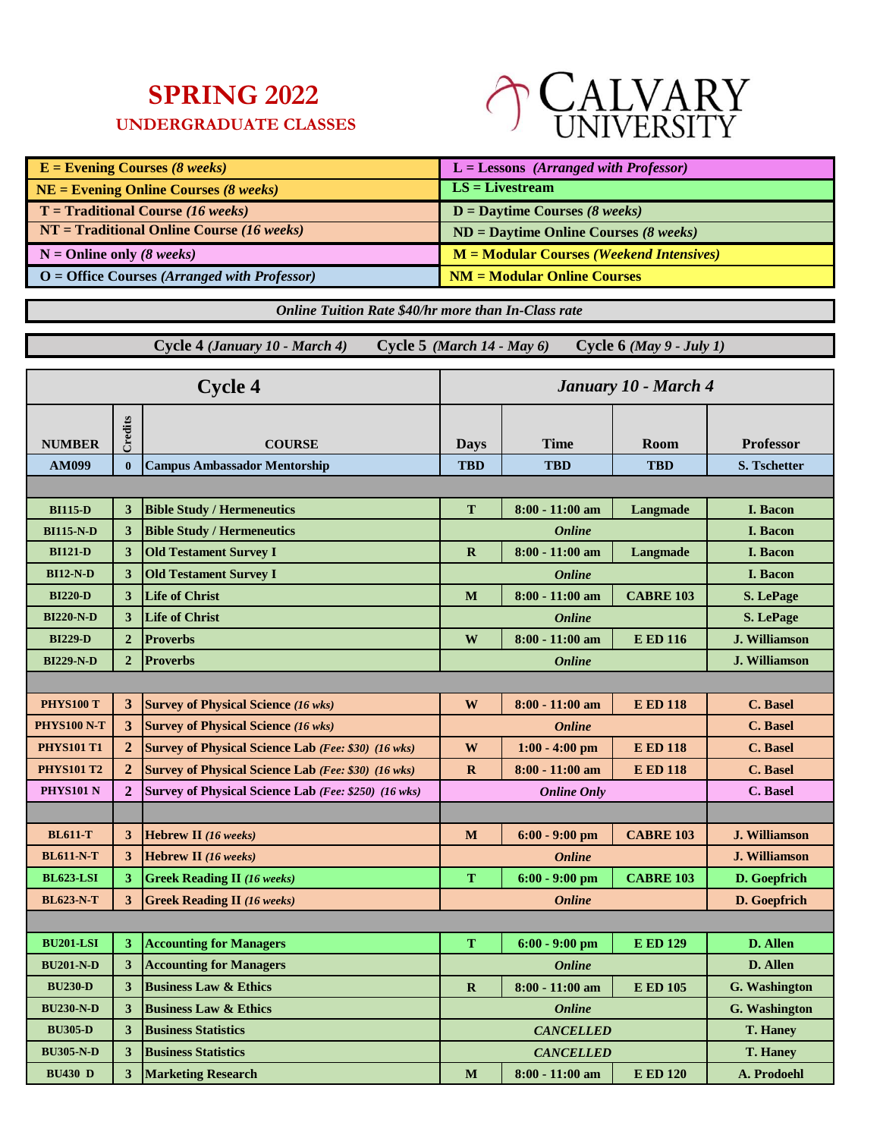## **SPRING 2022**

## **UNDERGRADUATE CLASSES**



| $E =$ Evening Courses (8 weeks)                    | $L =$ Lessons (Arranged with Professor)    |
|----------------------------------------------------|--------------------------------------------|
| $NE =$ Evening Online Courses (8 weeks)            | $LS = Livestream$                          |
| $T = \text{Traditional Course} (16 \text{ weeks})$ | $D =$ Daytime Courses (8 weeks)            |
| $NT = Traditional Online Course (16 weeks)$        | $ND =$ Daytime Online Courses (8 weeks)    |
| $N =$ Online only (8 weeks)                        | $M = Modular Courses (Weekend Intensives)$ |
| $O =$ Office Courses (Arranged with Professor)     | $NM = Modular Online Courses$              |

*Online Tuition Rate \$40/hr more than In-Class rate*

 **Cycle 4** *(January 10 - March 4)* **Cycle 5** *(March 14 - May 6)* **Cycle 6** *(May 9 - July 1)*

| <b>Cycle 4</b>    |                | January 10 - March 4                                       |             |                    |                  |                      |
|-------------------|----------------|------------------------------------------------------------|-------------|--------------------|------------------|----------------------|
| <b>NUMBER</b>     | Credits        | <b>COURSE</b>                                              | <b>Days</b> | <b>Time</b>        | <b>Room</b>      | <b>Professor</b>     |
| <b>AM099</b>      | $\bf{0}$       | <b>Campus Ambassador Mentorship</b>                        | <b>TBD</b>  | <b>TBD</b>         | <b>TBD</b>       | <b>S. Tschetter</b>  |
|                   |                |                                                            |             |                    |                  |                      |
| <b>BI115-D</b>    | 3              | <b>Bible Study / Hermeneutics</b>                          | T           | $8:00 - 11:00$ am  | Langmade         | <b>I.</b> Bacon      |
| <b>BI115-N-D</b>  | 3              | <b>Bible Study / Hermeneutics</b>                          |             | <b>Online</b>      |                  | <b>I.</b> Bacon      |
| <b>BI121-D</b>    | 3              | <b>Old Testament Survey I</b>                              | $\mathbf R$ | $8:00 - 11:00$ am  | Langmade         | I. Bacon             |
| <b>BI12-N-D</b>   | 3              | <b>Old Testament Survey I</b>                              |             | <b>Online</b>      |                  | <b>I. Bacon</b>      |
| <b>BI220-D</b>    | 3              | <b>Life of Christ</b>                                      | M           | $8:00 - 11:00$ am  | <b>CABRE 103</b> | <b>S.</b> LePage     |
| <b>BI220-N-D</b>  | 3              | <b>Life of Christ</b>                                      |             | <b>Online</b>      |                  | S. LePage            |
| <b>BI229-D</b>    | $\overline{2}$ | <b>Proverbs</b>                                            | W           | $8:00 - 11:00$ am  | <b>E ED 116</b>  | <b>J. Williamson</b> |
| <b>BI229-N-D</b>  | $\overline{2}$ | <b>Proverbs</b>                                            |             | <b>Online</b>      |                  | <b>J. Williamson</b> |
|                   |                |                                                            |             |                    |                  |                      |
| <b>PHYS100 T</b>  | 3              | <b>Survey of Physical Science (16 wks)</b>                 | W           | $8:00 - 11:00$ am  | <b>E ED 118</b>  | C. Basel             |
| PHYS100 N-T       | 3              | <b>Survey of Physical Science (16 wks)</b>                 |             | <b>Online</b>      |                  | <b>C.</b> Basel      |
| <b>PHYS101 T1</b> | $\overline{2}$ | <b>Survey of Physical Science Lab</b> (Fee: \$30) (16 wks) | W           | $1:00 - 4:00$ pm   | <b>E ED 118</b>  | <b>C.</b> Basel      |
| <b>PHYS101 T2</b> | $\overline{2}$ | <b>Survey of Physical Science Lab</b> (Fee: \$30) (16 wks) | $\mathbf R$ | $8:00 - 11:00$ am  | <b>E ED 118</b>  | <b>C.</b> Basel      |
| <b>PHYS101 N</b>  | $\overline{2}$ | Survey of Physical Science Lab (Fee: \$250) (16 wks)       |             | <b>Online Only</b> |                  | C. Basel             |
|                   |                |                                                            |             |                    |                  |                      |
| <b>BL611-T</b>    | 3              | <b>Hebrew II</b> (16 weeks)                                | M           | $6:00 - 9:00$ pm   | <b>CABRE 103</b> | <b>J. Williamson</b> |
| <b>BL611-N-T</b>  | 3              | Hebrew II (16 weeks)                                       |             | <b>Online</b>      |                  | <b>J. Williamson</b> |
| <b>BL623-LSI</b>  | 3              | <b>Greek Reading II</b> (16 weeks)                         | T           | $6:00 - 9:00$ pm   | <b>CABRE 103</b> | D. Goepfrich         |
| <b>BL623-N-T</b>  | 3              | <b>Greek Reading II (16 weeks)</b>                         |             | <b>Online</b>      |                  | D. Goepfrich         |
|                   |                |                                                            |             |                    |                  |                      |
| <b>BU201-LSI</b>  | 3              | <b>Accounting for Managers</b>                             | T           | $6:00 - 9:00$ pm   | <b>E ED 129</b>  | D. Allen             |
| <b>BU201-N-D</b>  | 3              | <b>Accounting for Managers</b>                             |             | <b>Online</b>      |                  | D. Allen             |
| <b>BU230-D</b>    | 3              | <b>Business Law &amp; Ethics</b>                           | $\mathbf R$ | $8:00 - 11:00$ am  | <b>E ED 105</b>  | <b>G.</b> Washington |
| <b>BU230-N-D</b>  | 3              | <b>Business Law &amp; Ethics</b>                           |             | <b>Online</b>      |                  | G. Washington        |
| <b>BU305-D</b>    | 3              | <b>Business Statistics</b>                                 |             | <b>CANCELLED</b>   |                  | T. Haney             |
| <b>BU305-N-D</b>  | 3              | <b>Business Statistics</b>                                 |             | <b>CANCELLED</b>   |                  | <b>T. Haney</b>      |
| <b>BU430 D</b>    | 3              | <b>Marketing Research</b>                                  | M           | $8:00 - 11:00$ am  | <b>E ED 120</b>  | A. Prodoehl          |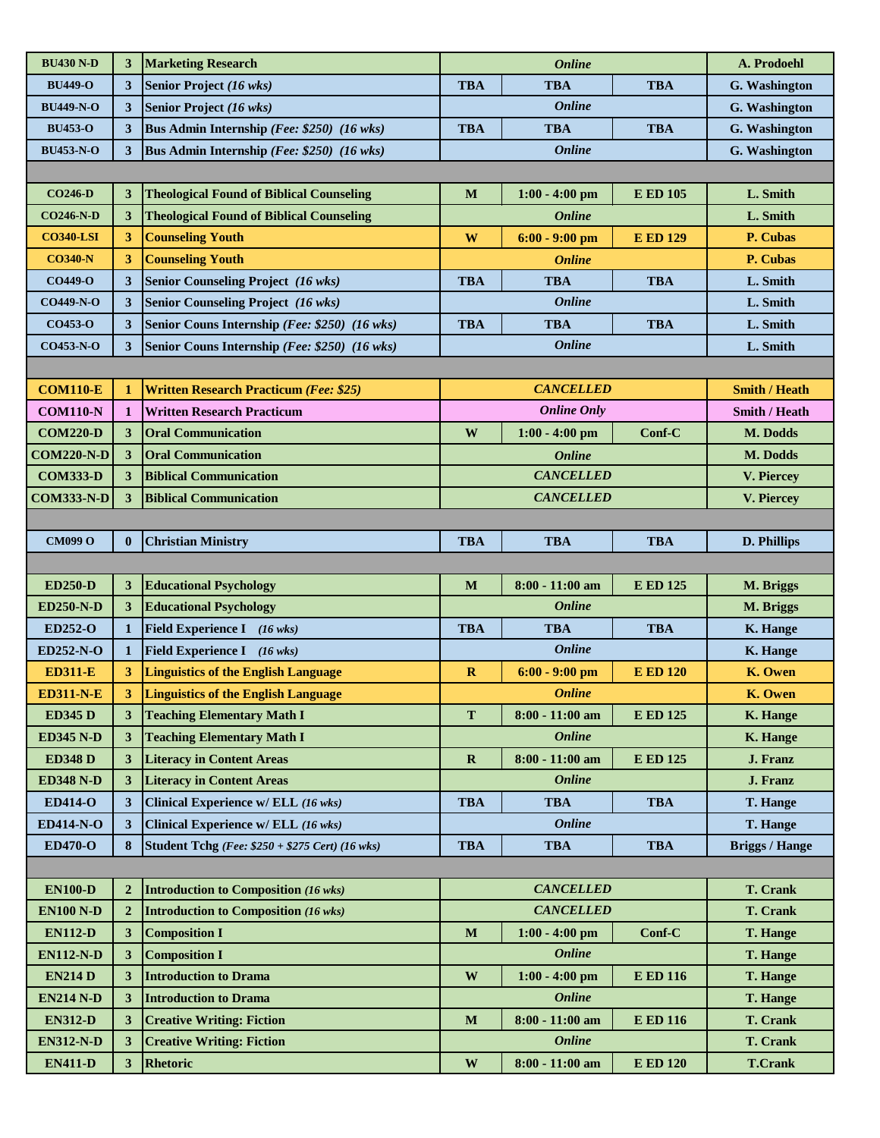| <b>BU430 N-D</b>  | 3              | <b>Marketing Research</b>                              |              | <b>Online</b>      |                 | A. Prodoehl           |
|-------------------|----------------|--------------------------------------------------------|--------------|--------------------|-----------------|-----------------------|
| <b>BU449-O</b>    | 3              | Senior Project (16 wks)                                | <b>TBA</b>   | <b>TBA</b>         | <b>TBA</b>      | G. Washington         |
| <b>BU449-N-O</b>  | 3              | Senior Project (16 wks)                                |              | <b>Online</b>      |                 | G. Washington         |
| <b>BU453-O</b>    | 3              | Bus Admin Internship (Fee: \$250) (16 wks)             | <b>TBA</b>   | <b>TBA</b>         | <b>TBA</b>      | G. Washington         |
| <b>BU453-N-O</b>  | 3              | Bus Admin Internship (Fee: \$250) (16 wks)             |              | <b>Online</b>      |                 | G. Washington         |
|                   |                |                                                        |              |                    |                 |                       |
| <b>CO246-D</b>    | 3              | <b>Theological Found of Biblical Counseling</b>        | M            | $1:00 - 4:00$ pm   | <b>E ED 105</b> | L. Smith              |
| <b>CO246-N-D</b>  | 3              | <b>Theological Found of Biblical Counseling</b>        |              | <b>Online</b>      |                 | L. Smith              |
| <b>CO340-LSI</b>  | 3              | <b>Counseling Youth</b>                                | W            | $6:00 - 9:00$ pm   | <b>E ED 129</b> | P. Cubas              |
| <b>CO340-N</b>    | 3              | <b>Counseling Youth</b>                                |              | <b>Online</b>      |                 | P. Cubas              |
| <b>CO449-O</b>    | 3              | <b>Senior Counseling Project (16 wks)</b>              | <b>TBA</b>   | <b>TBA</b>         | <b>TBA</b>      | L. Smith              |
| <b>CO449-N-O</b>  | 3              | <b>Senior Counseling Project</b> (16 wks)              |              | <b>Online</b>      |                 | L. Smith              |
| <b>CO453-O</b>    | 3              | Senior Couns Internship (Fee: \$250) (16 wks)          | <b>TBA</b>   | <b>TBA</b>         | <b>TBA</b>      | L. Smith              |
| <b>CO453-N-O</b>  | 3              | Senior Couns Internship (Fee: \$250) (16 wks)          |              | <b>Online</b>      |                 | L. Smith              |
|                   |                |                                                        |              |                    |                 |                       |
| <b>COM110-E</b>   | $\mathbf{1}$   | <b>Written Research Practicum (Fee: \$25)</b>          |              | <b>CANCELLED</b>   |                 | <b>Smith / Heath</b>  |
| <b>COM110-N</b>   | $\mathbf{1}$   | <b>Written Research Practicum</b>                      |              | <b>Online Only</b> |                 | Smith / Heath         |
| <b>COM220-D</b>   | 3              | <b>Oral Communication</b>                              | $\mathbf{W}$ | $1:00 - 4:00$ pm   | Conf-C          | M. Dodds              |
| <b>COM220-N-D</b> | 3              | <b>Oral Communication</b>                              |              | <b>Online</b>      |                 | M. Dodds              |
| <b>COM333-D</b>   | 3              | <b>Biblical Communication</b>                          |              | <b>CANCELLED</b>   |                 | V. Piercey            |
| <b>COM333-N-D</b> | 3              | <b>Biblical Communication</b>                          |              | <b>CANCELLED</b>   |                 | V. Piercey            |
|                   |                |                                                        |              |                    |                 |                       |
| <b>CM099 O</b>    | $\mathbf{0}$   | <b>Christian Ministry</b>                              | <b>TBA</b>   | <b>TBA</b>         | <b>TBA</b>      | D. Phillips           |
|                   |                |                                                        |              |                    |                 |                       |
|                   |                |                                                        |              |                    |                 |                       |
| <b>ED250-D</b>    | 3              | <b>Educational Psychology</b>                          | M            | $8:00 - 11:00$ am  | <b>E ED 125</b> | M. Briggs             |
| <b>ED250-N-D</b>  | 3              | <b>Educational Psychology</b>                          |              | <b>Online</b>      |                 | M. Briggs             |
| ED252-O           | $\mathbf{1}$   | Field Experience I (16 wks)                            | <b>TBA</b>   | <b>TBA</b>         | <b>TBA</b>      | K. Hange              |
| <b>ED252-N-O</b>  | 1              | Field Experience I (16 wks)                            |              | <b>Online</b>      |                 | K. Hange              |
| <b>ED311-E</b>    | 3              | <b>Linguistics of the English Language</b>             | $\mathbf R$  | $6:00 - 9:00$ pm   | <b>E ED 120</b> | K. Owen               |
| <b>ED311-N-E</b>  | 3              | <b>Linguistics of the English Language</b>             |              | <b>Online</b>      |                 | K. Owen               |
| <b>ED345 D</b>    | 3              | <b>Teaching Elementary Math I</b>                      | T            | $8:00 - 11:00$ am  | <b>E ED 125</b> | <b>K. Hange</b>       |
| <b>ED345 N-D</b>  | 3              | <b>Teaching Elementary Math I</b>                      |              | <b>Online</b>      |                 | <b>K.</b> Hange       |
| <b>ED348 D</b>    | 3              | <b>Literacy in Content Areas</b>                       | $\mathbf R$  | $8:00 - 11:00$ am  | <b>E ED 125</b> | J. Franz              |
| <b>ED348 N-D</b>  | 3              | <b>Literacy in Content Areas</b>                       |              | <b>Online</b>      |                 | J. Franz              |
| <b>ED414-O</b>    | 3              | Clinical Experience w/ ELL (16 wks)                    | <b>TBA</b>   | <b>TBA</b>         | <b>TBA</b>      | T. Hange              |
| <b>ED414-N-O</b>  | 3              | Clinical Experience w/ ELL (16 wks)                    |              | <b>Online</b>      |                 | T. Hange              |
| <b>ED470-O</b>    | 8              | <b>Student Tchg</b> (Fee: \$250 + \$275 Cert) (16 wks) | <b>TBA</b>   | <b>TBA</b>         | <b>TBA</b>      | <b>Briggs / Hange</b> |
|                   |                |                                                        |              |                    |                 |                       |
| <b>EN100-D</b>    | $\overline{2}$ | <b>Introduction to Composition (16 wks)</b>            |              | <b>CANCELLED</b>   |                 | T. Crank              |
| <b>EN100 N-D</b>  | $\overline{2}$ | <b>Introduction to Composition (16 wks)</b>            |              | <b>CANCELLED</b>   |                 | <b>T. Crank</b>       |
| <b>EN112-D</b>    | 3              | <b>Composition I</b>                                   | $\mathbf M$  | $1:00 - 4:00$ pm   | Conf-C          | <b>T. Hange</b>       |
| <b>EN112-N-D</b>  | 3              | <b>Composition I</b>                                   |              | <b>Online</b>      |                 | T. Hange              |
| <b>EN214 D</b>    | 3              | <b>Introduction to Drama</b>                           | $\mathbf W$  | $1:00 - 4:00$ pm   | <b>E ED 116</b> | <b>T. Hange</b>       |
| <b>EN214 N-D</b>  | 3              | <b>Introduction to Drama</b>                           |              | <b>Online</b>      |                 | <b>T. Hange</b>       |
| <b>EN312-D</b>    | 3              | <b>Creative Writing: Fiction</b>                       | $\mathbf{M}$ | $8:00 - 11:00$ am  | <b>E ED 116</b> | <b>T. Crank</b>       |
| <b>EN312-N-D</b>  | 3              | <b>Creative Writing: Fiction</b>                       |              | <b>Online</b>      |                 | <b>T. Crank</b>       |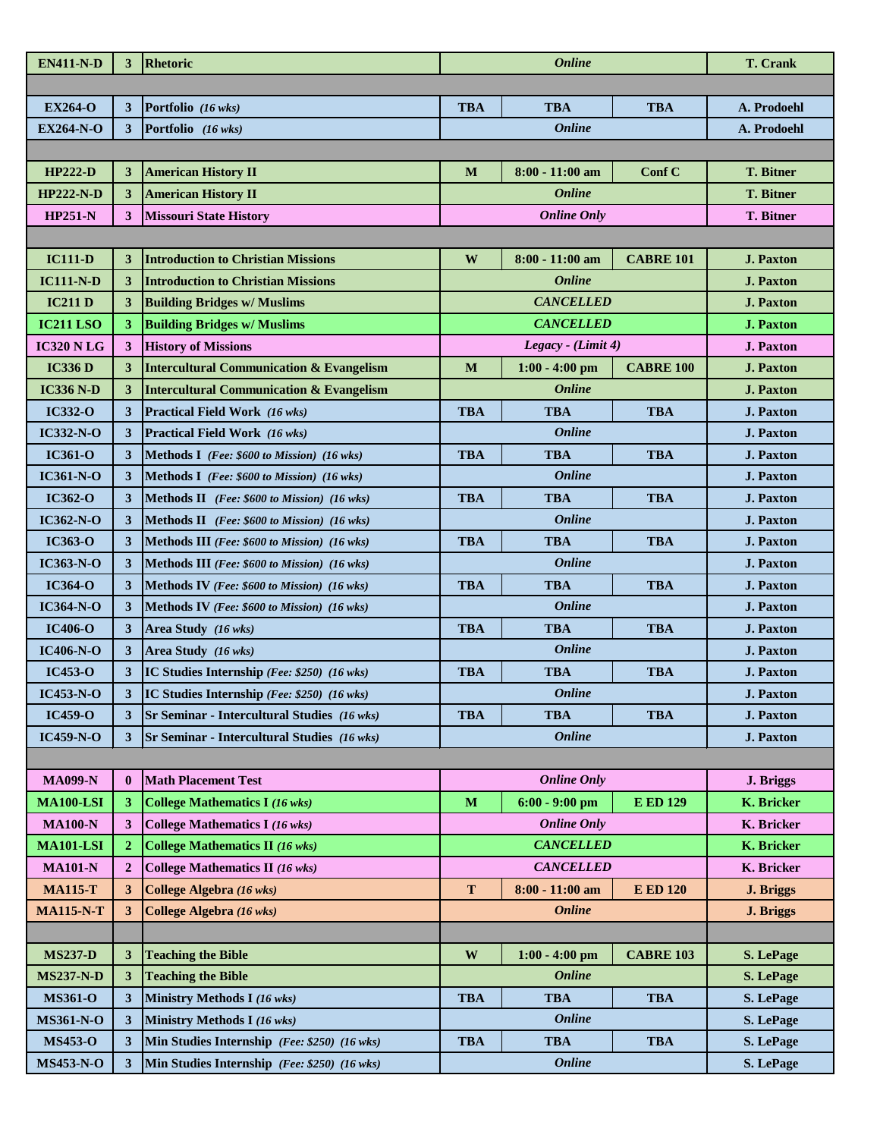| <b>EN411-N-D</b>  | 3              | Rhetoric                                            |              | <b>Online</b>      | <b>T. Crank</b>  |                   |
|-------------------|----------------|-----------------------------------------------------|--------------|--------------------|------------------|-------------------|
|                   |                |                                                     |              |                    |                  |                   |
| <b>EX264-O</b>    | 3              | Portfolio (16 wks)                                  | <b>TBA</b>   | <b>TBA</b>         | <b>TBA</b>       | A. Prodoehl       |
| <b>EX264-N-O</b>  | 3              | Portfolio (16 wks)                                  |              | <b>Online</b>      |                  | A. Prodoehl       |
|                   |                |                                                     |              |                    |                  |                   |
| <b>HP222-D</b>    | 3              | <b>American History II</b>                          | M            | $8:00 - 11:00$ am  | Conf C           | <b>T. Bitner</b>  |
| <b>HP222-N-D</b>  | 3              | <b>American History II</b>                          |              | <b>Online</b>      |                  | <b>T. Bitner</b>  |
| <b>HP251-N</b>    | 3              | <b>Missouri State History</b>                       |              | <b>Online Only</b> |                  | <b>T. Bitner</b>  |
|                   |                |                                                     |              |                    |                  |                   |
| <b>IC111-D</b>    | 3              | <b>Introduction to Christian Missions</b>           | W            | $8:00 - 11:00$ am  | <b>CABRE 101</b> | <b>J. Paxton</b>  |
| <b>IC111-N-D</b>  | 3              | <b>Introduction to Christian Missions</b>           |              | <b>Online</b>      |                  | <b>J. Paxton</b>  |
| <b>IC211 D</b>    | 3              | <b>Building Bridges w/ Muslims</b>                  |              | <b>CANCELLED</b>   |                  | <b>J. Paxton</b>  |
| <b>IC211 LSO</b>  | 3              | <b>Building Bridges w/ Muslims</b>                  |              | <b>CANCELLED</b>   |                  | <b>J. Paxton</b>  |
| <b>IC320 N LG</b> | 3              | <b>History of Missions</b>                          |              | Legacy - (Limit 4) |                  | <b>J. Paxton</b>  |
| <b>IC336 D</b>    | 3              | <b>Intercultural Communication &amp; Evangelism</b> | M            | $1:00 - 4:00$ pm   | <b>CABRE 100</b> | <b>J. Paxton</b>  |
| <b>IC336 N-D</b>  | 3              | <b>Intercultural Communication &amp; Evangelism</b> |              | <b>Online</b>      |                  | <b>J. Paxton</b>  |
| <b>IC332-O</b>    | 3              | <b>Practical Field Work</b> (16 wks)                | <b>TBA</b>   | <b>TBA</b>         | <b>TBA</b>       | <b>J. Paxton</b>  |
| <b>IC332-N-O</b>  | 3              | <b>Practical Field Work</b> (16 wks)                |              | <b>Online</b>      |                  | <b>J. Paxton</b>  |
| <b>IC361-O</b>    | 3              | Methods I (Fee: \$600 to Mission) (16 wks)          | <b>TBA</b>   | <b>TBA</b>         | <b>TBA</b>       | <b>J. Paxton</b>  |
| <b>IC361-N-O</b>  | 3              | Methods I (Fee: \$600 to Mission) (16 wks)          |              | <b>Online</b>      |                  | <b>J. Paxton</b>  |
| <b>IC362-O</b>    | 3              | Methods II (Fee: \$600 to Mission) (16 wks)         | <b>TBA</b>   | <b>TBA</b>         | <b>TBA</b>       | <b>J. Paxton</b>  |
| $IC362-N-O$       | 3              | Methods II (Fee: \$600 to Mission) (16 wks)         |              | <b>Online</b>      |                  | <b>J. Paxton</b>  |
| <b>IC363-O</b>    | 3              | Methods III (Fee: \$600 to Mission) (16 wks)        | <b>TBA</b>   | <b>TBA</b>         | <b>TBA</b>       | <b>J. Paxton</b>  |
| $IC363-N-O$       | 3              | Methods III (Fee: \$600 to Mission) (16 wks)        |              | <b>Online</b>      |                  | <b>J. Paxton</b>  |
| <b>IC364-O</b>    | 3              | Methods IV (Fee: \$600 to Mission) (16 wks)         | <b>TBA</b>   | <b>TBA</b>         | <b>TBA</b>       | <b>J. Paxton</b>  |
| <b>IC364-N-O</b>  | 3              | Methods IV (Fee: \$600 to Mission) (16 wks)         |              | <b>Online</b>      |                  | <b>J. Paxton</b>  |
| <b>IC406-O</b>    | 3              | Area Study (16 wks)                                 | <b>TBA</b>   | <b>TBA</b>         | <b>TBA</b>       | <b>J. Paxton</b>  |
| <b>IC406-N-O</b>  | 3              | Area Study (16 wks)                                 |              | <b>Online</b>      |                  | <b>J. Paxton</b>  |
| <b>IC453-O</b>    | 3              | IC Studies Internship (Fee: \$250) (16 wks)         | <b>TBA</b>   | <b>TBA</b>         | <b>TBA</b>       | <b>J. Paxton</b>  |
| <b>IC453-N-O</b>  | 3 <sup>1</sup> | IC Studies Internship (Fee: \$250) (16 wks)         |              | <b>Online</b>      |                  | <b>J. Paxton</b>  |
| <b>IC459-O</b>    |                | Sr Seminar - Intercultural Studies (16 wks)         | <b>TBA</b>   | TBA                | <b>TBA</b>       | <b>J. Paxton</b>  |
| <b>IC459-N-O</b>  | 3              | <b>Sr Seminar - Intercultural Studies</b> (16 wks)  |              | <b>Online</b>      |                  | <b>J. Paxton</b>  |
|                   |                |                                                     |              |                    |                  |                   |
| <b>MA099-N</b>    | $\mathbf{0}$   | <b>Math Placement Test</b>                          |              | <b>Online Only</b> |                  | J. Briggs         |
| <b>MA100-LSI</b>  | 3              | <b>College Mathematics I (16 wks)</b>               | M            | $6:00 - 9:00$ pm   | <b>E ED 129</b>  | <b>K.</b> Bricker |
| <b>MA100-N</b>    | 3              | <b>College Mathematics I (16 wks)</b>               |              | <b>Online Only</b> |                  | K. Bricker        |
| <b>MA101-LSI</b>  | 2              | <b>College Mathematics II (16 wks)</b>              |              | <b>CANCELLED</b>   |                  | K. Bricker        |
| <b>MA101-N</b>    | $\overline{2}$ | <b>College Mathematics II (16 wks)</b>              |              | <b>CANCELLED</b>   |                  | K. Bricker        |
| <b>MA115-T</b>    | 3              | College Algebra (16 wks)                            | T            | $8:00 - 11:00$ am  | <b>E ED 120</b>  | <b>J. Briggs</b>  |
| <b>MA115-N-T</b>  | 3              | College Algebra (16 wks)                            |              | <b>Online</b>      |                  | J. Briggs         |
|                   |                |                                                     |              |                    |                  |                   |
| <b>MS237-D</b>    | 3              | <b>Teaching the Bible</b>                           | $\mathbf{W}$ | $1:00 - 4:00$ pm   | <b>CABRE 103</b> | S. LePage         |
| <b>MS237-N-D</b>  | 3              | <b>Teaching the Bible</b>                           |              | <b>Online</b>      |                  | S. LePage         |
| <b>MS361-O</b>    | 3              | Ministry Methods I (16 wks)                         | <b>TBA</b>   | <b>TBA</b>         | <b>TBA</b>       | S. LePage         |
| <b>MS361-N-O</b>  | 3              | Ministry Methods I (16 wks)                         |              | <b>Online</b>      |                  | S. LePage         |
| <b>MS453-O</b>    | 3              | Min Studies Internship (Fee: \$250) (16 wks)        | <b>TBA</b>   | <b>TBA</b>         | <b>TBA</b>       | S. LePage         |
| <b>MS453-N-O</b>  | 3              | Min Studies Internship (Fee: \$250) (16 wks)        |              | <b>Online</b>      |                  | S. LePage         |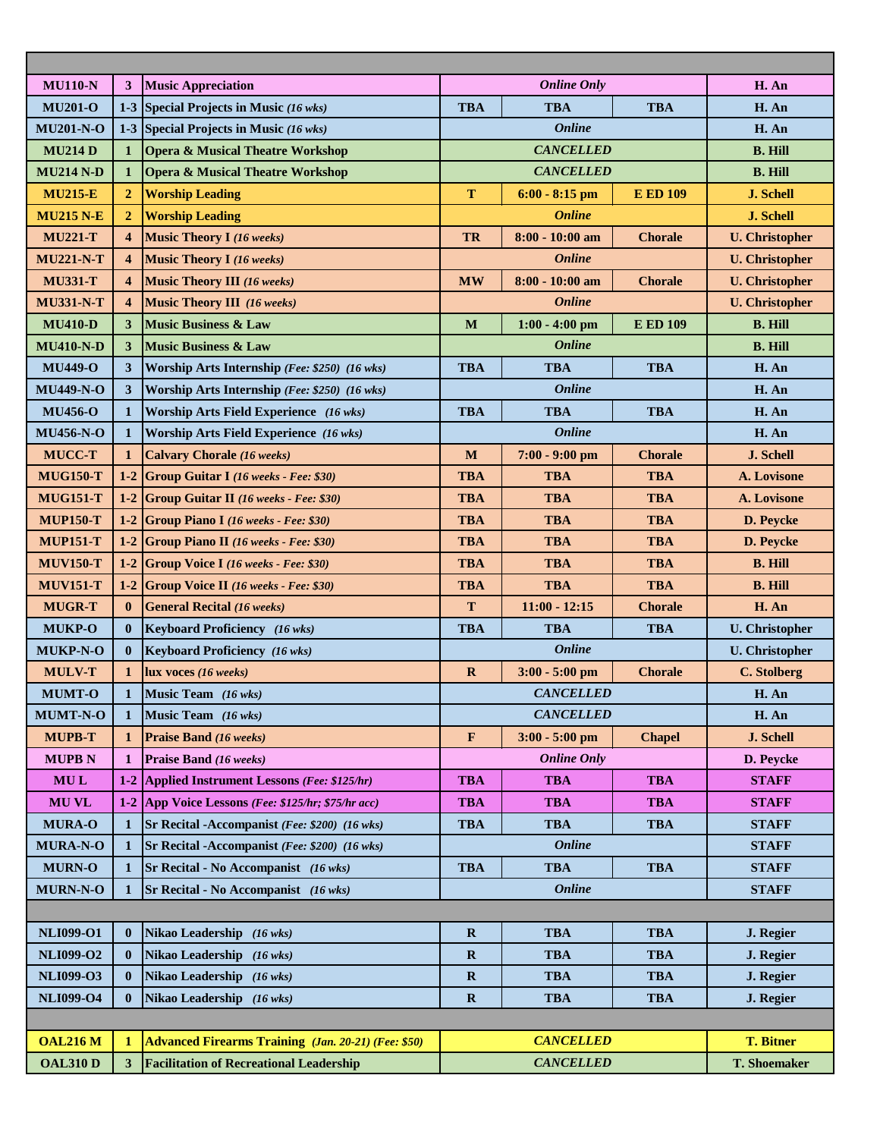| <b>MU110-N</b>   | 3                       | <b>Music Appreciation</b>                                  |              | <b>Online Only</b> |                 | H. An                 |
|------------------|-------------------------|------------------------------------------------------------|--------------|--------------------|-----------------|-----------------------|
| <b>MU201-O</b>   | $1-3$                   | Special Projects in Music (16 wks)                         | <b>TBA</b>   | <b>TBA</b>         | H. An           |                       |
| <b>MU201-N-O</b> | $1-3$                   | <b>Special Projects in Music (16 wks)</b>                  |              | <b>Online</b>      |                 | H. An                 |
| <b>MU214D</b>    | 1                       | <b>Opera &amp; Musical Theatre Workshop</b>                |              | <b>CANCELLED</b>   |                 | <b>B. Hill</b>        |
| <b>MU214 N-D</b> | 1                       | <b>Opera &amp; Musical Theatre Workshop</b>                |              | <b>CANCELLED</b>   |                 | <b>B. Hill</b>        |
| <b>MU215-E</b>   | $\mathbf{2}$            | <b>Worship Leading</b>                                     | $\mathbf T$  | $6:00 - 8:15$ pm   | <b>E ED 109</b> | <b>J. Schell</b>      |
| <b>MU215 N-E</b> | $\overline{2}$          | <b>Worship Leading</b>                                     |              | <b>Online</b>      |                 | J. Schell             |
| <b>MU221-T</b>   | 4                       | <b>Music Theory I (16 weeks)</b>                           | TR           | $8:00 - 10:00$ am  | <b>Chorale</b>  | <b>U.</b> Christopher |
| <b>MU221-N-T</b> | $\overline{\mathbf{4}}$ | <b>Music Theory I</b> (16 weeks)                           |              | <b>Online</b>      |                 | <b>U.</b> Christopher |
| <b>MU331-T</b>   | $\boldsymbol{4}$        | <b>Music Theory III (16 weeks)</b>                         | <b>MW</b>    | $8:00 - 10:00$ am  | <b>Chorale</b>  | <b>U.</b> Christopher |
| <b>MU331-N-T</b> | $\boldsymbol{4}$        | <b>Music Theory III</b> (16 weeks)                         |              | <b>Online</b>      |                 | <b>U.</b> Christopher |
| <b>MU410-D</b>   | 3                       | <b>Music Business &amp; Law</b>                            | M            | $1:00 - 4:00$ pm   | <b>E ED 109</b> | <b>B. Hill</b>        |
| <b>MU410-N-D</b> | 3                       | <b>Music Business &amp; Law</b>                            |              | <b>Online</b>      |                 | <b>B. Hill</b>        |
| <b>MU449-O</b>   | 3                       | Worship Arts Internship (Fee: \$250) (16 wks)              | <b>TBA</b>   | <b>TBA</b>         | <b>TBA</b>      | H. An                 |
| <b>MU449-N-O</b> | 3                       | Worship Arts Internship (Fee: \$250) (16 wks)              |              | <b>Online</b>      |                 | H. An                 |
| <b>MU456-O</b>   | $\mathbf 1$             | Worship Arts Field Experience (16 wks)                     | <b>TBA</b>   | <b>TBA</b>         | <b>TBA</b>      | H. An                 |
| <b>MU456-N-O</b> | 1                       | <b>Worship Arts Field Experience</b> (16 wks)              |              | <b>Online</b>      |                 | H. An                 |
| <b>MUCC-T</b>    | 1                       | <b>Calvary Chorale (16 weeks)</b>                          | M            | $7:00 - 9:00$ pm   | <b>Chorale</b>  | J. Schell             |
| <b>MUG150-T</b>  | $1-2$                   | <b>Group Guitar I</b> (16 weeks - Fee: \$30)               | <b>TBA</b>   | <b>TBA</b>         | <b>TBA</b>      | A. Lovisone           |
| <b>MUG151-T</b>  | $1 - 2$                 | <b>Group Guitar II</b> (16 weeks - Fee: \$30)              | <b>TBA</b>   | <b>TBA</b>         | <b>TBA</b>      | A. Lovisone           |
| <b>MUP150-T</b>  | $1 - 2$                 | Group Piano I (16 weeks - Fee: \$30)                       | <b>TBA</b>   | <b>TBA</b>         | <b>TBA</b>      | D. Peycke             |
| <b>MUP151-T</b>  | $1-2$                   | <b>Group Piano II</b> (16 weeks - Fee: \$30)               | <b>TBA</b>   | <b>TBA</b>         | <b>TBA</b>      | D. Peycke             |
| <b>MUV150-T</b>  | $1-2$                   | <b>Group Voice I</b> (16 weeks - Fee: \$30)                | <b>TBA</b>   | <b>TBA</b>         | <b>TBA</b>      | <b>B. Hill</b>        |
| <b>MUV151-T</b>  | $1-2$                   | <b>Group Voice II</b> (16 weeks - Fee: \$30)               | <b>TBA</b>   | <b>TBA</b>         | <b>TBA</b>      | <b>B. Hill</b>        |
| <b>MUGR-T</b>    | $\bf{0}$                | <b>General Recital (16 weeks)</b>                          | T            | $11:00 - 12:15$    | <b>Chorale</b>  | H. An                 |
| <b>MUKP-O</b>    | $\mathbf{0}$            | Keyboard Proficiency (16 wks)                              | <b>TBA</b>   | <b>TBA</b>         | <b>TBA</b>      | <b>U.</b> Christopher |
| <b>MUKP-N-O</b>  | $\bf{0}$                | <b>Keyboard Proficiency</b> (16 wks)                       |              | <b>Online</b>      |                 | <b>U.</b> Christopher |
| <b>MULV-T</b>    | $\mathbf{1}$            | $lux$ voces (16 weeks)                                     | $\mathbf R$  | $3:00 - 5:00$ pm   | <b>Chorale</b>  | C. Stolberg           |
| <b>MUMT-O</b>    | 1                       | Music Team (16 wks)                                        |              | <b>CANCELLED</b>   |                 | H. An                 |
| <b>MUMT-N-O</b>  | $\mathbf 1$             | Music Team (16 wks)                                        |              | <b>CANCELLED</b>   |                 | H. An                 |
| <b>MUPB-T</b>    | 1                       | <b>Praise Band (16 weeks)</b>                              | F            | $3:00 - 5:00$ pm   | <b>Chapel</b>   | J. Schell             |
| <b>MUPB N</b>    | 1                       | Praise Band (16 weeks)                                     |              | <b>Online Only</b> |                 | D. Peycke             |
| <b>MUL</b>       | $1 - 2$                 | Applied Instrument Lessons (Fee: \$125/hr)                 | <b>TBA</b>   | <b>TBA</b>         | <b>TBA</b>      | <b>STAFF</b>          |
| <b>MUVL</b>      | $1-2$                   | App Voice Lessons (Fee: \$125/hr; \$75/hr acc)             | <b>TBA</b>   | <b>TBA</b>         | <b>TBA</b>      | <b>STAFF</b>          |
| <b>MURA-O</b>    | 1                       | Sr Recital -Accompanist (Fee: \$200) (16 wks)              | <b>TBA</b>   | <b>TBA</b>         | <b>TBA</b>      | <b>STAFF</b>          |
| <b>MURA-N-O</b>  | 1                       | Sr Recital -Accompanist (Fee: \$200) (16 wks)              |              | <b>Online</b>      |                 | <b>STAFF</b>          |
| <b>MURN-O</b>    | $\mathbf{1}$            | Sr Recital - No Accompanist (16 wks)                       | <b>TBA</b>   | <b>TBA</b>         | <b>TBA</b>      | <b>STAFF</b>          |
| <b>MURN-N-O</b>  | 1                       | Sr Recital - No Accompanist (16 wks)                       |              | <b>Online</b>      |                 | <b>STAFF</b>          |
|                  |                         |                                                            |              |                    |                 |                       |
| <b>NLI099-O1</b> | $\mathbf{0}$            | Nikao Leadership (16 wks)                                  | $\mathbf{R}$ | <b>TBA</b>         | <b>TBA</b>      | J. Regier             |
| <b>NLI099-O2</b> | $\mathbf{0}$            | Nikao Leadership (16 wks)                                  | $\mathbf R$  | <b>TBA</b>         | <b>TBA</b>      | J. Regier             |
| <b>NLI099-O3</b> | $\mathbf{0}$            | Nikao Leadership (16 wks)                                  | $\mathbf R$  | <b>TBA</b>         | <b>TBA</b>      | J. Regier             |
| <b>NLI099-O4</b> | $\mathbf{0}$            | Nikao Leadership (16 wks)                                  | $\mathbf R$  | <b>TBA</b>         | <b>TBA</b>      | J. Regier             |
|                  |                         |                                                            |              |                    |                 |                       |
| <b>OAL216 M</b>  | $\mathbf{1}$            | <b>Advanced Firearms Training</b> (Jan. 20-21) (Fee: \$50) |              | <b>CANCELLED</b>   |                 | <b>T. Bitner</b>      |
| <b>OAL310 D</b>  | 3                       | <b>Facilitation of Recreational Leadership</b>             |              | <b>CANCELLED</b>   |                 | <b>T. Shoemaker</b>   |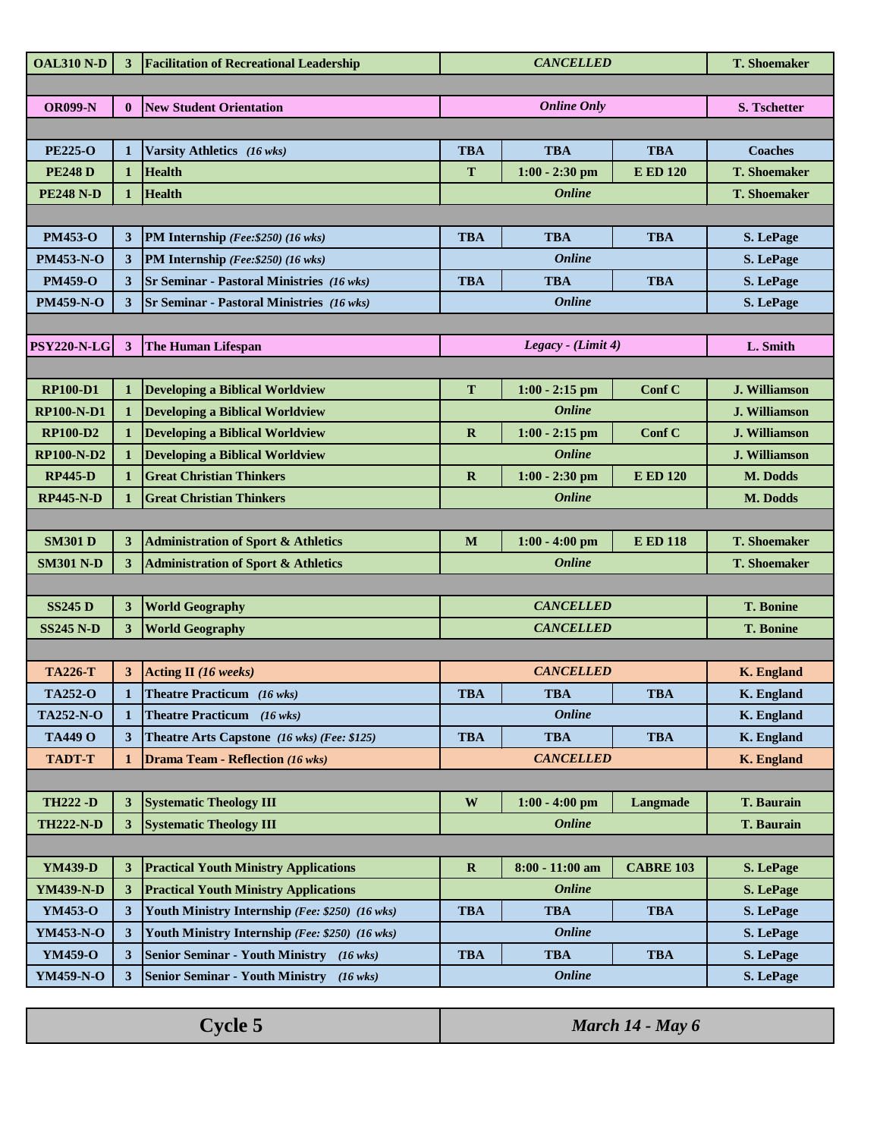| <b>OAL310 N-D</b>  | 3                       | <b>Facilitation of Recreational Leadership</b>   |              | <b>CANCELLED</b>   |                  | <b>T. Shoemaker</b>  |
|--------------------|-------------------------|--------------------------------------------------|--------------|--------------------|------------------|----------------------|
|                    |                         |                                                  |              |                    |                  |                      |
| <b>OR099-N</b>     | $\mathbf{0}$            | <b>New Student Orientation</b>                   |              | <b>Online Only</b> |                  | <b>S. Tschetter</b>  |
|                    |                         |                                                  |              |                    |                  |                      |
| <b>PE225-O</b>     | 1                       | Varsity Athletics (16 wks)                       | <b>TBA</b>   | <b>TBA</b>         | <b>TBA</b>       | <b>Coaches</b>       |
| <b>PE248D</b>      | 1                       | <b>Health</b>                                    | T            | $1:00 - 2:30$ pm   | <b>E ED 120</b>  | <b>T. Shoemaker</b>  |
| <b>PE248 N-D</b>   | 1                       | <b>Health</b>                                    |              | <b>Online</b>      |                  | <b>T. Shoemaker</b>  |
|                    |                         |                                                  |              |                    |                  |                      |
| <b>PM453-O</b>     | 3                       | PM Internship (Fee: \$250) (16 wks)              | <b>TBA</b>   | <b>TBA</b>         | <b>TBA</b>       | S. LePage            |
| <b>PM453-N-O</b>   | 3                       | PM Internship (Fee: \$250) (16 wks)              |              | <b>Online</b>      |                  | S. LePage            |
| <b>PM459-O</b>     | 3                       | <b>Sr Seminar - Pastoral Ministries</b> (16 wks) | <b>TBA</b>   | <b>TBA</b>         | <b>TBA</b>       | S. LePage            |
| <b>PM459-N-O</b>   | 3                       | <b>Sr Seminar - Pastoral Ministries</b> (16 wks) |              | <b>Online</b>      |                  | S. LePage            |
|                    |                         |                                                  |              |                    |                  |                      |
| <b>PSY220-N-LG</b> | $\overline{\mathbf{3}}$ | <b>The Human Lifespan</b>                        |              | Legacy - (Limit 4) |                  | L. Smith             |
|                    |                         |                                                  |              |                    |                  |                      |
| <b>RP100-D1</b>    | 1                       | <b>Developing a Biblical Worldview</b>           | $\mathbf T$  | $1:00 - 2:15$ pm   | Conf C           | J. Williamson        |
| <b>RP100-N-D1</b>  | 1                       | <b>Developing a Biblical Worldview</b>           |              | <b>Online</b>      |                  | <b>J. Williamson</b> |
| <b>RP100-D2</b>    | 1                       | <b>Developing a Biblical Worldview</b>           | $\mathbf R$  | $1:00 - 2:15$ pm   | Conf C           | J. Williamson        |
| <b>RP100-N-D2</b>  | $\mathbf{1}$            | <b>Developing a Biblical Worldview</b>           |              | <b>Online</b>      |                  | J. Williamson        |
| <b>RP445-D</b>     | $\mathbf{1}$            | <b>Great Christian Thinkers</b>                  | $\mathbf R$  | $1:00 - 2:30$ pm   | <b>E ED 120</b>  | M. Dodds             |
| <b>RP445-N-D</b>   |                         | <b>Great Christian Thinkers</b>                  |              | <b>Online</b>      |                  | M. Dodds             |
|                    |                         |                                                  |              |                    |                  |                      |
| <b>SM301 D</b>     | 3                       | <b>Administration of Sport &amp; Athletics</b>   | M            | $1:00 - 4:00$ pm   | <b>E ED 118</b>  | <b>T. Shoemaker</b>  |
| <b>SM301 N-D</b>   | 3                       | <b>Administration of Sport &amp; Athletics</b>   |              | <b>Online</b>      |                  | <b>T. Shoemaker</b>  |
|                    |                         |                                                  |              |                    |                  |                      |
| <b>SS245 D</b>     | 3                       | <b>World Geography</b>                           |              | <b>CANCELLED</b>   |                  | <b>T. Bonine</b>     |
| <b>SS245 N-D</b>   | 3                       | <b>World Geography</b>                           |              | <b>CANCELLED</b>   |                  | <b>T. Bonine</b>     |
|                    |                         |                                                  |              |                    |                  |                      |
| <b>TA226-T</b>     | 3                       | <b>Acting II</b> (16 weeks)                      |              | <b>CANCELLED</b>   |                  | <b>K.</b> England    |
| <b>TA252-O</b>     | $\mathbf{1}$            | Theatre Practicum (16 wks)                       | <b>TBA</b>   | <b>TBA</b>         | <b>TBA</b>       | K. England           |
| <b>TA252-N-O</b>   | 1                       | <b>Theatre Practicum</b> (16 wks)                |              | <b>Online</b>      |                  | <b>K.</b> England    |
| <b>TA449 O</b>     | 3                       | Theatre Arts Capstone (16 wks) (Fee: \$125)      | <b>TBA</b>   | <b>TBA</b>         | <b>TBA</b>       | K. England           |
| <b>TADT-T</b>      | 1                       | <b>Drama Team - Reflection (16 wks)</b>          |              | <b>CANCELLED</b>   |                  | <b>K.</b> England    |
|                    |                         |                                                  |              |                    |                  |                      |
| <b>TH222 -D</b>    | 3                       | <b>Systematic Theology III</b>                   | W            | $1:00 - 4:00$ pm   | Langmade         | <b>T. Baurain</b>    |
| <b>TH222-N-D</b>   | 3                       | <b>Systematic Theology III</b>                   |              | <b>Online</b>      |                  | <b>T. Baurain</b>    |
|                    |                         |                                                  |              |                    |                  |                      |
| <b>YM439-D</b>     | 3                       | <b>Practical Youth Ministry Applications</b>     | $\mathbf{R}$ | 8:00 - 11:00 am    | <b>CABRE 103</b> | S. LePage            |
| <b>YM439-N-D</b>   | 3                       | <b>Practical Youth Ministry Applications</b>     |              | <b>Online</b>      |                  | S. LePage            |
| <b>YM453-O</b>     | 3                       | Youth Ministry Internship (Fee: \$250) (16 wks)  | <b>TBA</b>   | <b>TBA</b>         | <b>TBA</b>       | S. LePage            |
| YM453-N-O          | 3                       | Youth Ministry Internship (Fee: \$250) (16 wks)  |              | <b>Online</b>      |                  | S. LePage            |
| <b>YM459-O</b>     | 3                       | <b>Senior Seminar - Youth Ministry</b> (16 wks)  | <b>TBA</b>   | <b>TBA</b>         | <b>TBA</b>       | S. LePage            |
| YM459-N-O          | 3                       | Senior Seminar - Youth Ministry (16 wks)         |              | <b>Online</b>      |                  | S. LePage            |
|                    |                         |                                                  |              |                    |                  |                      |

| $\gamma$ vcle $\gtrsim$ | March $14$ - May 6 |
|-------------------------|--------------------|
|-------------------------|--------------------|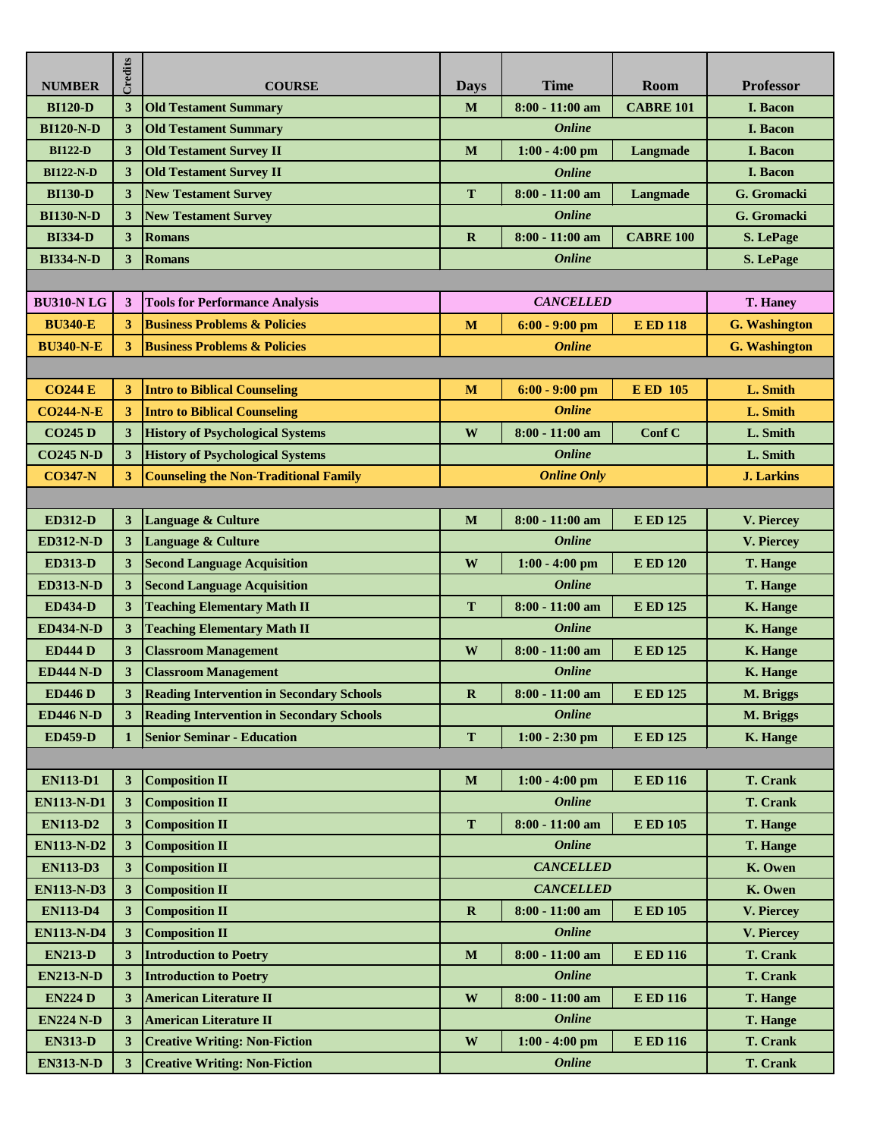| <b>NUMBER</b>     | Credits | <b>COURSE</b>                                    | <b>Days</b>  | <b>Time</b>        | Room             | <b>Professor</b>     |
|-------------------|---------|--------------------------------------------------|--------------|--------------------|------------------|----------------------|
| <b>BI120-D</b>    | 3       | <b>Old Testament Summary</b>                     | M            | $8:00 - 11:00$ am  | <b>CABRE 101</b> | <b>I.</b> Bacon      |
| <b>BI120-N-D</b>  | 3       | <b>Old Testament Summary</b>                     |              | <b>Online</b>      |                  | <b>I.</b> Bacon      |
| <b>BI122-D</b>    | 3       | <b>Old Testament Survey II</b>                   | M            | $1:00 - 4:00$ pm   | Langmade         | I. Bacon             |
| <b>BI122-N-D</b>  | 3       | <b>Old Testament Survey II</b>                   |              | <b>Online</b>      |                  | I. Bacon             |
| <b>BI130-D</b>    | 3       | <b>New Testament Survey</b>                      | T            | $8:00 - 11:00$ am  | Langmade         | G. Gromacki          |
| <b>BI130-N-D</b>  | 3       | <b>New Testament Survey</b>                      |              | <b>Online</b>      |                  | G. Gromacki          |
| <b>BI334-D</b>    | 3       | <b>Romans</b>                                    | $\mathbf R$  | $8:00 - 11:00$ am  | <b>CABRE 100</b> | S. LePage            |
| <b>BI334-N-D</b>  | 3       | <b>Romans</b>                                    |              | <b>Online</b>      |                  | <b>S. LePage</b>     |
|                   |         |                                                  |              |                    |                  |                      |
| <b>BU310-NLG</b>  | 3       | <b>Tools for Performance Analysis</b>            |              | <b>CANCELLED</b>   |                  | T. Haney             |
| <b>BU340-E</b>    | 3       | <b>Business Problems &amp; Policies</b>          | $\mathbf M$  | $6:00 - 9:00$ pm   | <b>E ED 118</b>  | <b>G.</b> Washington |
| <b>BU340-N-E</b>  | 3       | <b>Business Problems &amp; Policies</b>          |              | <b>Online</b>      |                  | <b>G.</b> Washington |
|                   |         |                                                  |              |                    |                  |                      |
| <b>CO244 E</b>    | 3       | <b>Intro to Biblical Counseling</b>              | M            | $6:00 - 9:00$ pm   | <b>E ED 105</b>  | L. Smith             |
| <b>CO244-N-E</b>  | 3       | <b>Intro to Biblical Counseling</b>              |              | <b>Online</b>      |                  | L. Smith             |
| <b>CO245 D</b>    | 3       | <b>History of Psychological Systems</b>          | W            | $8:00 - 11:00$ am  | Conf C           | L. Smith             |
| <b>CO245 N-D</b>  | 3       | <b>History of Psychological Systems</b>          |              | <b>Online</b>      |                  | L. Smith             |
| <b>CO347-N</b>    | 3       | <b>Counseling the Non-Traditional Family</b>     |              | <b>Online Only</b> |                  | <b>J. Larkins</b>    |
|                   |         |                                                  |              |                    |                  |                      |
| <b>ED312-D</b>    | 3       | <b>Language &amp; Culture</b>                    | M            | $8:00 - 11:00$ am  | <b>E ED 125</b>  | V. Piercey           |
| <b>ED312-N-D</b>  | 3       | Language & Culture                               |              | <b>Online</b>      |                  | V. Piercey           |
| <b>ED313-D</b>    | 3       | <b>Second Language Acquisition</b>               | W            | $1:00 - 4:00$ pm   | <b>E ED 120</b>  | <b>T. Hange</b>      |
| <b>ED313-N-D</b>  | 3       | <b>Second Language Acquisition</b>               |              | <b>Online</b>      |                  | <b>T. Hange</b>      |
| <b>ED434-D</b>    | 3       | <b>Teaching Elementary Math II</b>               | T            | $8:00 - 11:00$ am  | <b>E ED 125</b>  | <b>K. Hange</b>      |
| <b>ED434-N-D</b>  | 3       | <b>Teaching Elementary Math II</b>               |              | <b>Online</b>      |                  | K. Hange             |
| <b>ED444 D</b>    | 3       | <b>Classroom Management</b>                      | W            | $8:00 - 11:00$ am  | <b>E ED 125</b>  | K. Hange             |
| <b>ED444 N-D</b>  | 3       | <b>Classroom Management</b>                      |              | <b>Online</b>      |                  | <b>K. Hange</b>      |
| <b>ED446 D</b>    | 3       | <b>Reading Intervention in Secondary Schools</b> | $\mathbf{R}$ | $8:00 - 11:00$ am  | <b>E ED 125</b>  | M. Briggs            |
| <b>ED446 N-D</b>  | 3       | <b>Reading Intervention in Secondary Schools</b> |              | <b>Online</b>      |                  | M. Briggs            |
| <b>ED459-D</b>    |         | <b>Senior Seminar - Education</b>                | T            | $1:00 - 2:30$ pm   | <b>E ED 125</b>  | K. Hange             |
|                   |         |                                                  |              |                    |                  |                      |
| <b>EN113-D1</b>   | 3       | <b>Composition II</b>                            | $\mathbf M$  | $1:00 - 4:00$ pm   | <b>E ED 116</b>  | <b>T. Crank</b>      |
| <b>EN113-N-D1</b> | 3       | <b>Composition II</b>                            |              | <b>Online</b>      |                  | <b>T. Crank</b>      |
| <b>EN113-D2</b>   | 3       | <b>Composition II</b>                            | T            | $8:00 - 11:00$ am  | <b>E ED 105</b>  | <b>T. Hange</b>      |
| <b>EN113-N-D2</b> | 3       | <b>Composition II</b>                            |              | <b>Online</b>      |                  | <b>T. Hange</b>      |
| <b>EN113-D3</b>   | 3       | <b>Composition II</b>                            |              | <b>CANCELLED</b>   |                  | K. Owen              |
| <b>EN113-N-D3</b> | 3       | <b>Composition II</b>                            |              | <b>CANCELLED</b>   |                  | K. Owen              |
| <b>EN113-D4</b>   | 3       | <b>Composition II</b>                            | $\mathbf R$  | $8:00 - 11:00$ am  | <b>E ED 105</b>  | V. Piercey           |
| <b>EN113-N-D4</b> | 3       | <b>Composition II</b>                            |              | <b>Online</b>      |                  | V. Piercey           |
| <b>EN213-D</b>    | 3       | <b>Introduction to Poetry</b>                    | $\mathbf M$  | $8:00 - 11:00$ am  | <b>E ED 116</b>  | <b>T. Crank</b>      |
| <b>EN213-N-D</b>  | 3       | <b>Introduction to Poetry</b>                    |              | <b>Online</b>      |                  | <b>T. Crank</b>      |
| <b>EN224 D</b>    | 3       | <b>American Literature II</b>                    | W            | $8:00 - 11:00$ am  | <b>E ED 116</b>  | <b>T. Hange</b>      |
| <b>EN224 N-D</b>  | 3       | <b>American Literature II</b>                    |              | <b>Online</b>      |                  | <b>T. Hange</b>      |
| <b>EN313-D</b>    | 3       | <b>Creative Writing: Non-Fiction</b>             | $\mathbf{W}$ | $1:00 - 4:00$ pm   | <b>E ED 116</b>  | <b>T. Crank</b>      |
| <b>EN313-N-D</b>  | 3       | <b>Creative Writing: Non-Fiction</b>             |              | <b>Online</b>      |                  | <b>T. Crank</b>      |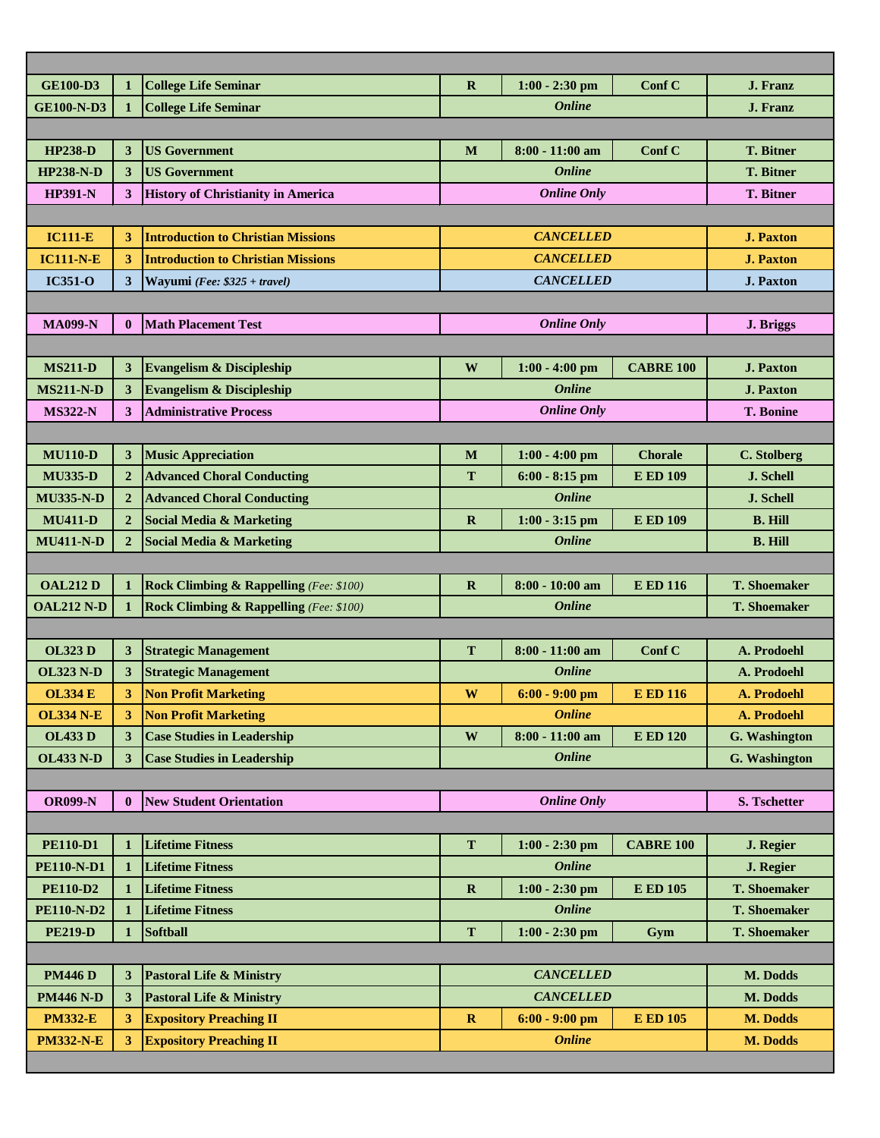| <b>GE100-D3</b>   | $\mathbf{1}$   | <b>College Life Seminar</b>                        | $\mathbf R$   | $1:00 - 2:30$ pm   | Conf C           | J. Franz            |
|-------------------|----------------|----------------------------------------------------|---------------|--------------------|------------------|---------------------|
| <b>GE100-N-D3</b> | $\mathbf{1}$   | <b>College Life Seminar</b>                        | <b>Online</b> |                    |                  | <b>J. Franz</b>     |
|                   |                |                                                    |               |                    |                  |                     |
| <b>HP238-D</b>    | 3              | <b>US Government</b>                               | M             | $8:00 - 11:00$ am  | Conf C           | <b>T. Bitner</b>    |
| <b>HP238-N-D</b>  | 3              | <b>US Government</b>                               |               | <b>Online</b>      |                  | <b>T. Bitner</b>    |
| <b>HP391-N</b>    | 3              | <b>History of Christianity in America</b>          |               | <b>Online Only</b> |                  | <b>T. Bitner</b>    |
|                   |                |                                                    |               |                    |                  |                     |
| <b>IC111-E</b>    | 3              | <b>Introduction to Christian Missions</b>          |               | <b>CANCELLED</b>   |                  | <b>J. Paxton</b>    |
| <b>IC111-N-E</b>  | 3              | <b>Introduction to Christian Missions</b>          |               | <b>CANCELLED</b>   |                  | <b>J. Paxton</b>    |
| <b>IC351-O</b>    | 3              | Wayumi (Fee: \$325 + travel)                       |               | <b>CANCELLED</b>   |                  | <b>J. Paxton</b>    |
|                   |                |                                                    |               |                    |                  |                     |
| <b>MA099-N</b>    | $\mathbf{0}$   | <b>Math Placement Test</b>                         |               | <b>Online Only</b> |                  | J. Briggs           |
|                   |                |                                                    |               |                    |                  |                     |
| <b>MS211-D</b>    | 3              | <b>Evangelism &amp; Discipleship</b>               | W             | $1:00 - 4:00$ pm   | <b>CABRE 100</b> | <b>J. Paxton</b>    |
| <b>MS211-N-D</b>  | 3              | <b>Evangelism &amp; Discipleship</b>               |               | <b>Online</b>      |                  | <b>J. Paxton</b>    |
| <b>MS322-N</b>    | 3              | <b>Administrative Process</b>                      |               | <b>Online Only</b> |                  | <b>T. Bonine</b>    |
|                   |                |                                                    |               |                    |                  |                     |
| <b>MU110-D</b>    | 3              | <b>Music Appreciation</b>                          | $\mathbf{M}$  | $1:00 - 4:00$ pm   | <b>Chorale</b>   | C. Stolberg         |
| <b>MU335-D</b>    | $\overline{2}$ | <b>Advanced Choral Conducting</b>                  | T             | $6:00 - 8:15$ pm   | <b>E ED 109</b>  | J. Schell           |
| <b>MU335-N-D</b>  | $\mathbf{2}$   | <b>Advanced Choral Conducting</b>                  |               | <b>Online</b>      |                  | J. Schell           |
| <b>MU411-D</b>    | $\mathbf{2}$   | <b>Social Media &amp; Marketing</b>                | $\mathbf R$   | $1:00 - 3:15$ pm   | <b>E ED 109</b>  | <b>B. Hill</b>      |
| <b>MU411-N-D</b>  | $\overline{2}$ | <b>Social Media &amp; Marketing</b>                |               | <b>Online</b>      |                  | <b>B. Hill</b>      |
|                   |                |                                                    |               |                    |                  |                     |
| <b>OAL212 D</b>   | $\mathbf{1}$   | <b>Rock Climbing &amp; Rappelling</b> (Fee: \$100) | $\mathbf R$   | 8:00 - 10:00 am    | <b>E ED 116</b>  | <b>T. Shoemaker</b> |
| <b>OAL212 N-D</b> | $\mathbf{1}$   | <b>Rock Climbing &amp; Rappelling</b> (Fee: \$100) |               | <b>Online</b>      |                  | <b>T. Shoemaker</b> |
|                   |                |                                                    |               |                    |                  |                     |
| <b>OL323 D</b>    | 3              | <b>Strategic Management</b>                        | T             | $8:00 - 11:00$ am  | Conf C           | A. Prodoehl         |
| <b>OL323 N-D</b>  | 3              | <b>Strategic Management</b>                        |               | <b>Online</b>      |                  | A. Prodoehl         |
| <b>OL334 E</b>    | 3              | <b>Non Profit Marketing</b>                        | W             | $6:00 - 9:00$ pm   | <b>E ED 116</b>  | A. Prodoehl         |
| <b>OL334 N-E</b>  | 3              | <b>Non Profit Marketing</b>                        |               | <b>Online</b>      |                  | A. Prodoehl         |
| <b>OL433 D</b>    | 3              | <b>Case Studies in Leadership</b>                  | W             | $8:00 - 11:00$ am  | <b>E ED 120</b>  | G. Washington       |
| <b>OL433 N-D</b>  | 3              | <b>Case Studies in Leadership</b>                  |               | <b>Online</b>      |                  | G. Washington       |
|                   |                |                                                    |               |                    |                  |                     |
| <b>OR099-N</b>    | $\mathbf{0}$   | <b>New Student Orientation</b>                     |               | <b>Online Only</b> |                  | S. Tschetter        |
|                   |                |                                                    |               |                    |                  |                     |
| <b>PE110-D1</b>   |                | <b>Lifetime Fitness</b>                            | $\mathbf T$   | $1:00 - 2:30$ pm   | <b>CABRE 100</b> | J. Regier           |
| <b>PE110-N-D1</b> | 1              | <b>Lifetime Fitness</b>                            |               | <b>Online</b>      |                  | J. Regier           |
| <b>PE110-D2</b>   | 1              | <b>Lifetime Fitness</b>                            | $\mathbf R$   | $1:00 - 2:30$ pm   | <b>E ED 105</b>  | <b>T. Shoemaker</b> |
| <b>PE110-N-D2</b> | 1              | <b>Lifetime Fitness</b>                            |               | <b>Online</b>      |                  | <b>T. Shoemaker</b> |
| <b>PE219-D</b>    | 1              | <b>Softball</b>                                    | T             | $1:00 - 2:30$ pm   | Gym              | <b>T. Shoemaker</b> |
|                   |                |                                                    |               |                    |                  |                     |
| <b>PM446D</b>     | 3              | <b>Pastoral Life &amp; Ministry</b>                |               | <b>CANCELLED</b>   |                  | M. Dodds            |
| <b>PM446 N-D</b>  | 3              | <b>Pastoral Life &amp; Ministry</b>                |               | <b>CANCELLED</b>   |                  | M. Dodds            |
| <b>PM332-E</b>    | 3              | <b>Expository Preaching II</b>                     | $\mathbf R$   | $6:00 - 9:00$ pm   | <b>E ED 105</b>  | M. Dodds            |
| <b>PM332-N-E</b>  | 3              | <b>Expository Preaching II</b>                     |               | <b>Online</b>      |                  | M. Dodds            |
|                   |                |                                                    |               |                    |                  |                     |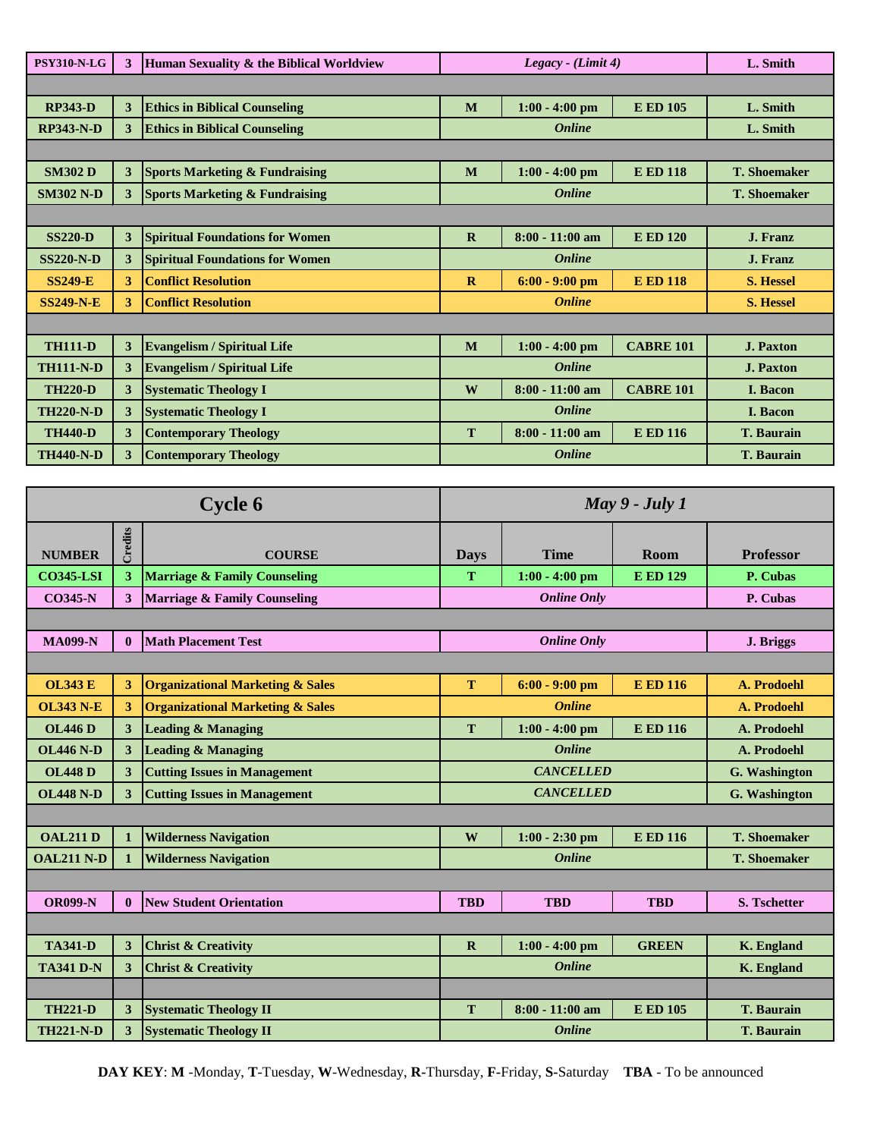| <b>PSY310-N-LG</b> | 3 | Human Sexuality & the Biblical Worldview  | $Legacy$ - (Limit 4) |                   |                   | L. Smith            |
|--------------------|---|-------------------------------------------|----------------------|-------------------|-------------------|---------------------|
|                    |   |                                           |                      |                   |                   |                     |
| <b>RP343-D</b>     | 3 | <b>Ethics in Biblical Counseling</b>      | M                    | $1:00 - 4:00$ pm  | <b>E ED 105</b>   | L. Smith            |
| <b>RP343-N-D</b>   | 3 | <b>Ethics in Biblical Counseling</b>      |                      | <b>Online</b>     |                   | L. Smith            |
|                    |   |                                           |                      |                   |                   |                     |
| <b>SM302 D</b>     | 3 | <b>Sports Marketing &amp; Fundraising</b> | M                    | $1:00 - 4:00$ pm  | <b>E ED 118</b>   | <b>T. Shoemaker</b> |
| <b>SM302 N-D</b>   | 3 | <b>Sports Marketing &amp; Fundraising</b> |                      | <b>Online</b>     |                   | <b>T. Shoemaker</b> |
|                    |   |                                           |                      |                   |                   |                     |
| <b>SS220-D</b>     | 3 | <b>Spiritual Foundations for Women</b>    | $\mathbf R$          | $8:00 - 11:00$ am | <b>E ED 120</b>   | J. Franz            |
| <b>SS220-N-D</b>   | 3 | <b>Spiritual Foundations for Women</b>    |                      | <b>Online</b>     |                   | <b>J. Franz</b>     |
| <b>SS249-E</b>     | 3 | <b>Conflict Resolution</b>                | $\mathbf{R}$         | $6:00 - 9:00$ pm  | <b>E ED 118</b>   | <b>S. Hessel</b>    |
| <b>SS249-N-E</b>   | 3 | <b>Conflict Resolution</b>                |                      | <b>Online</b>     |                   | <b>S. Hessel</b>    |
|                    |   |                                           |                      |                   |                   |                     |
| <b>TH111-D</b>     | 3 | <b>Evangelism / Spiritual Life</b>        | M                    | $1:00 - 4:00$ pm  | <b>CABRE 101</b>  | <b>J. Paxton</b>    |
| <b>TH111-N-D</b>   | 3 | <b>Evangelism / Spiritual Life</b>        |                      | <b>Online</b>     |                   | <b>J. Paxton</b>    |
| <b>TH220-D</b>     | 3 | <b>Systematic Theology I</b>              | W                    | $8:00 - 11:00$ am | <b>CABRE 101</b>  | <b>I.</b> Bacon     |
| <b>TH220-N-D</b>   | 3 | <b>Systematic Theology I</b>              |                      | <b>Online</b>     |                   | <b>I. Bacon</b>     |
| <b>TH440-D</b>     | 3 | <b>Contemporary Theology</b>              | T                    | $8:00 - 11:00$ am | <b>E ED 116</b>   | <b>T. Baurain</b>   |
| <b>TH440-N-D</b>   | 3 | <b>Contemporary Theology</b>              |                      | <b>Online</b>     | <b>T. Baurain</b> |                     |

| <b>Cycle 6</b>    |              | May $9$ - July 1                            |             |                    |                 |                     |
|-------------------|--------------|---------------------------------------------|-------------|--------------------|-----------------|---------------------|
| <b>NUMBER</b>     | Credits      | <b>COURSE</b>                               | <b>Days</b> | <b>Time</b>        | Room            | <b>Professor</b>    |
| <b>CO345-LSI</b>  | 3            | <b>Marriage &amp; Family Counseling</b>     | T           | $1:00 - 4:00$ pm   | <b>E ED 129</b> | P. Cubas            |
| <b>CO345-N</b>    | 3            | <b>Marriage &amp; Family Counseling</b>     |             | <b>Online Only</b> |                 | P. Cubas            |
|                   |              |                                             |             |                    |                 |                     |
| <b>MA099-N</b>    | $\mathbf{0}$ | <b>Math Placement Test</b>                  |             | <b>Online Only</b> |                 | J. Briggs           |
|                   |              |                                             |             |                    |                 |                     |
| <b>OL343 E</b>    | 3            | <b>Organizational Marketing &amp; Sales</b> | T           | $6:00 - 9:00$ pm   | <b>E ED 116</b> | A. Prodoehl         |
| <b>OL343 N-E</b>  | 3            | <b>Organizational Marketing &amp; Sales</b> |             | <b>Online</b>      |                 | A. Prodoehl         |
| <b>OL446D</b>     | 3            | <b>Leading &amp; Managing</b>               | T           | $1:00 - 4:00$ pm   | <b>E ED 116</b> | A. Prodoehl         |
| <b>OL446 N-D</b>  | 3            | <b>Leading &amp; Managing</b>               |             | <b>Online</b>      |                 | A. Prodoehl         |
| <b>OL448D</b>     | 3            | <b>Cutting Issues in Management</b>         |             | <b>CANCELLED</b>   |                 | G. Washington       |
| <b>OL448 N-D</b>  | 3            | <b>Cutting Issues in Management</b>         |             | <b>CANCELLED</b>   |                 | G. Washington       |
|                   |              |                                             |             |                    |                 |                     |
| <b>OAL211 D</b>   | $\mathbf{1}$ | <b>Wilderness Navigation</b>                | W           | $1:00 - 2:30$ pm   | <b>E ED 116</b> | <b>T. Shoemaker</b> |
| <b>OAL211 N-D</b> | $\mathbf{1}$ | <b>Wilderness Navigation</b>                |             | <b>Online</b>      |                 | <b>T. Shoemaker</b> |
|                   |              |                                             |             |                    |                 |                     |
| <b>OR099-N</b>    | $\mathbf{0}$ | <b>New Student Orientation</b>              | <b>TBD</b>  | <b>TBD</b>         | <b>TBD</b>      | <b>S. Tschetter</b> |
|                   |              |                                             |             |                    |                 |                     |
| <b>TA341-D</b>    | 3            | <b>Christ &amp; Creativity</b>              | $\mathbf R$ | $1:00 - 4:00$ pm   | <b>GREEN</b>    | K. England          |
| <b>TA341 D-N</b>  | 3            | <b>Christ &amp; Creativity</b>              |             | <b>Online</b>      |                 | <b>K.</b> England   |
|                   |              |                                             |             |                    |                 |                     |
| <b>TH221-D</b>    | 3            | <b>Systematic Theology II</b>               | T           | $8:00 - 11:00$ am  | <b>E ED 105</b> | <b>T. Baurain</b>   |
| <b>TH221-N-D</b>  | 3            | <b>Systematic Theology II</b>               |             | <b>Online</b>      |                 | <b>T. Baurain</b>   |